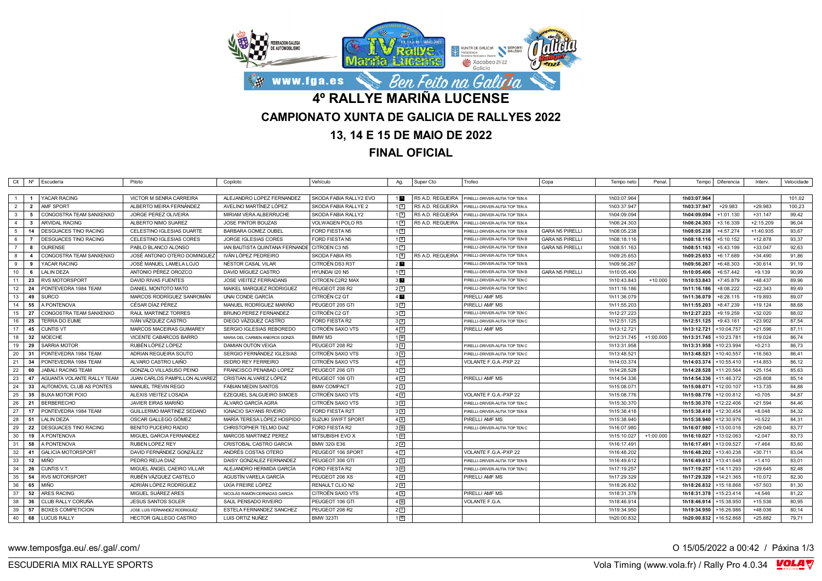

**FINAL OFICIAL**

|                                  | Clt   Nº   Escudería               | Piloto                        | Copiloto                                                            | Vehículo                  | Ag.                | Super Cto        | Trofeo                                                           | Copa                   | Tempo neto  | Penal.      | Tempo                      | Diferencia  | Interv.     | Velocidade |
|----------------------------------|------------------------------------|-------------------------------|---------------------------------------------------------------------|---------------------------|--------------------|------------------|------------------------------------------------------------------|------------------------|-------------|-------------|----------------------------|-------------|-------------|------------|
| -1<br>- 1                        | YACAR RACING                       | VICTOR M SENRA CARREIRA       | ALEJANDRO LOPEZ FERNANDEZ                                           | SKODA FABIA RALLY2 EVO    | 1 <b>EU</b>        | R5 A.D. REGUEIRA | PIRELLI-DRIVER-AUTIA TOP TEN A                                   |                        | 1h03:07.964 |             | 1h03:07.964                |             |             | 101.02     |
| $\overline{2}$<br>$\overline{2}$ | AMF SPORT                          | ALBERTO MEIRA FERNÁNDEZ       | AVELINO MARTÍNEZ LÓPEZ                                              | SKODA FABIA RALLYE 2      | $1\sqrt{2}$        | R5 A.D. REGUEIRA | PIRELLI-DRIVER-AUTIA TOP TEN A                                   |                        | 1h03:37.947 |             | 1h03:37.947                | $+29.983$   | $+29.983$   | 100,23     |
| $\mathbf{3}$<br>5                | CONGOSTRA TEAM SANXENXO            | JORGE PEREZ OLIVEIRA          | MIRIAM VERA ALBERRUCHE                                              | SKODA FABIA RALLY2        | $1\sqrt{3}$        | R5 A.D. REGUEIRA |                                                                  |                        | 1h04:09.094 |             | 1h04:09.094                | $+1:01.130$ | $+31.147$   | 99,42      |
| $\overline{4}$<br>-3             | ARVIDAL RACING                     | ALBERTO NIMO SUAREZ           | JOSE PINTOR BOUZAS                                                  | VOLWAGEN POLO R5          | $1\vert 4$         | R5 A.D. REGUEIRA | PIRELLI-DRIVER-AUTIA TOP TEN A<br>PIRELLI-DRIVER-AUTIA TOP TEN A |                        | 1h06:24.303 |             | 1h06:24.303                | $+3:16.339$ | $+2:15.209$ | 96,04      |
| 5<br>14                          | <b>DESGUACES TINO RACING</b>       | CELESTINO IGLESIAS DUARTE     | <b>BARBARA GOMEZ OUBEL</b>                                          | FORD FIESTA N5            | 15                 |                  |                                                                  | <b>GARA N5 PIRELLI</b> | 1h08:05.238 |             | 1h08:05.238                | $+4:57.274$ | $+1:40.935$ | 93.67      |
| 6                                | DESGUACES TINO RACING              | CELESTINO IGLESIAS CORES      | JORGE IGLESIAS CORES                                                | FORD FIESTA N5            | 16                 |                  | PIRELLI-DRIVER-AUTIA TOP TEN E                                   | <b>GARA N5 PIRELLI</b> | 1h08:18.116 |             | 1h08:18.116                | $+5:10.152$ | $+12.878$   | 93,37      |
| <b>R</b>                         |                                    |                               |                                                                     |                           | $1\sqrt{2}$        |                  | PIRELLI-DRIVER-AUTIA TOP TEN I                                   |                        |             |             |                            |             |             |            |
| $\overline{7}$<br>8              | OURENSE<br>CONGOSTRA TEAM SANXENXO | PABLO BLANCO ALONSO           | IAN BAUTISTA QUINTANA FERNANDE CITROEN C3 N5<br>IVÁN LÓPEZ PEDREIRO |                           |                    |                  | PIRELLI-DRIVER-AUTIA TOP TEN B                                   | <b>GARA N5 PIRELLI</b> | 1h08:51.163 |             | 1h08:51.163<br>1h09:25.653 | $+5:43.199$ | $+33.047$   | 92,63      |
|                                  |                                    | JOSÉ ANTONIO OTERO DOMINGUEZ  |                                                                     | SKODA FABIA R5            | 12                 | R5 A.D. REGUEIRA | PIRELLI-DRIVER-AUTIA TOP TEN A                                   |                        | 1h09:25.653 |             |                            | $+6:17.689$ | $+34.490$   | 91,86      |
| 9<br>9                           | YACAR RACING                       | JOSÉ MANUEL LAMELA LOJO       | NÉSTOR CASAL VILAR                                                  | <b>CITROËN DS3 R3T</b>    | $2 \blacksquare$   |                  | PIRELLI-DRIVER-AUTIA TOP TEN B                                   |                        | 1h09:56.267 |             | 1h09:56.267                | $+6:48.303$ | $+30.614$   | 91,19      |
| 10<br>- 6                        | LALIN DEZA                         | ANTONIO PÉREZ OROZCO          | DAVID MÍGUEZ CASTRO                                                 | HYUNDAI I20 N5            | 1 <sup>9</sup>     |                  | PIRELLI-DRIVER-AUTIA TOP TEN E                                   | <b>GARA N5 PIRELLI</b> | 1h10:05.406 |             | 1h10:05.406                | $+6:57.442$ | $+9.139$    | 90,99      |
| 23<br>11                         | <b>RVS MOTORSPORT</b>              | <b>DAVID RIVAS FUENTES</b>    | <b>JOSE VIEITEZ FERRADANS</b>                                       | CITROEN C2R2 MAX          | 3 <sub>II</sub>    |                  | PIRELLI-DRIVER-AUTIA TOP TEN C                                   |                        | 1h10:43.843 | $+10.000$   | 1h10:53.843                | $+7:45.879$ | $+48.437$   | 89,96      |
| 12<br>24                         | PONTEVEDRA 1984 TEAM               | DANIEL MONTOTO MATO           | MAIKEL MARQUEZ RODRIGUEZ                                            | PEUGEOT 208 R2            | $2\sqrt{2}$        |                  | PIRELLI-DRIVER-AUTIA TOP TEN C                                   |                        | 1h11:16.186 |             | 1h11:16.186                | +8:08.222   | $+22.343$   | 89,49      |
| 13<br>49                         | <b>SURCO</b>                       | MARCOS RODRÍGUEZ SANROMÁN     | UNAI CONDE GARCIA                                                   | CITROËN C2 GT             | $4$ $\blacksquare$ |                  | PIRELLI AMF MS                                                   |                        | 1h11:36.079 |             | 1h11:36.079                | $+8:28.115$ | +19.893     | 89,07      |
| 14<br>55                         | A PONTENOVA                        | CÉSAR DÍAZ PÉREZ              | MANUEL RODRÍGUEZ MARIÑO                                             | PEUGEOT 205 GTI           | 3 <sup>2</sup>     |                  | PIRELLI AMF MS                                                   |                        | 1h11:55.203 |             | 1h11:55.203                | +8:47.239   | $+19.124$   | 88,68      |
| 15<br>27                         | CONGOSTRA TEAM SANXENXO            | <b>RAUL MARTINEZ TORRES</b>   | <b>BRUNO PEREZ FERNANDEZ</b>                                        | CITROËN C2 GT             | 3 <sup>3</sup>     |                  | PIRELLI-DRIVER-AUTIA TOP TEN C                                   |                        | 1h12:27.223 |             | 1h12:27.223                | +9:19.259   | $+32.020$   | 88,02      |
| 16<br>25                         | <b>TERRA DO EUME</b>               | IVÁN VÁZQUEZ CASTRO           | DIEGO VÁZQUEZ CASTRO                                                | FORD FIESTA R2            | $3\sqrt{4}$        |                  | PIRELLI-DRIVER-AUTIA TOP TEN C                                   |                        | 1h12:51.125 |             | 1h12:51.125                | $+9:43.161$ | $+23.902$   | 87,54      |
| 17<br>45                         | <b>CUNTIS VT</b>                   | MARCOS MACEIRAS GUIMAREY      | SERGIO IGLESIAS REBOREDO                                            | CITROËN SAXO VTS          | $4\sqrt{2}$        |                  | PIRELLI AMF MS                                                   |                        | 1h13:12.721 |             | 1h13:12.721                | +10:04.757  | $+21.596$   | 87,11      |
| 18<br>32                         | <b>MOECHE</b>                      | VICENTE CABARCOS BARRO        | MARIA DEL CARMEN ANEIROS GONZÁ                                      | BMW M3                    | 110                |                  |                                                                  |                        | 1h12:31.745 | $+1:00.000$ | 1h13:31.745                | +10:23.781  | $+19.024$   | 86,74      |
| 19<br>29                         | <b>SARRIA MOTOR</b>                | RUBÉN LÓPEZ LÓPEZ             | DAMIAN OUTON VEIGA                                                  | PEUGEOT 208 R2            | 35                 |                  | PIRELLI-DRIVER-AUTIA TOP TEN C                                   |                        | 1h13:31.958 |             | 1h13:31.958                | +10:23.994  | $+0.213$    | 86,73      |
| 20<br>-31                        | PONTEVEDRA 1984 TEAM               | ADRIAN REGUEIRA SOUTO         | SERGIO FERNÁNDEZ IGLESIAS                                           | CITROËN SAXO VTS          | 36                 |                  | PIRELLI-DRIVER-AUTIA TOP TEN C                                   |                        | 1h13:48.521 |             | 1h13:48.521                | +10:40.557  | $+16.563$   | 86,41      |
| 21<br>34                         | PONTEVEDRA 1984 TEAM               | ALVARO CASTRO LAIÑO           | <b>ISIDRO REY FERREIRO</b>                                          | CITROËN SAXO VTS          | $4\sqrt{3}$        |                  | VOLANTE F.G.A.-PXP 22                                            |                        | 1h14:03.374 |             | 1h14:03.374                | +10:55.410  | $+14.853$   | 86,12      |
| 22<br>60                         | <b>JABALI RACING TEAM</b>          | GONZALO VILLASUSO PEINO       | FRANCISCO PENABAD LOPEZ                                             | PEUGEOT 206 GTI           | $3\sqrt{7}$        |                  |                                                                  |                        | 1h14:28.528 |             | 1h14:28.528                | +11:20.564  | $+25.154$   | 85,63      |
| 23<br>47                         | AGUANTA VOLANTE RALLY TEAM         | JUAN CARLOS PAMPILLON ALVAREZ | CRISTIAN ALVAREZ LÓPEZ                                              | PEUGEOT 106 GTI           | $4\sqrt{4}$        |                  | PIRELLI AMF MS                                                   |                        | 1h14:54.336 |             | 1h14:54.336                | +11:46.372  | $+25.808$   | 85,14      |
| 24<br>33                         | AUTOMOVIL CLUB AS PONTES           | MANUEL TREVIN REGO            | <b>FABIAN MEDIN SANTOS</b>                                          | <b>BMW COMPACT</b>        | 2 <sup>3</sup>     |                  |                                                                  |                        | 1h15:08.071 |             | 1h15:08.071                | +12:00.107  | $+13.735$   | 84,88      |
| 25<br>35                         | <b>BUXA MOTOR POIO</b>             | ALEXIS VIEITEZ LOSADA         | EZEQUIEL SALGUEIRO SIMOES                                           | CITROËN SAXO VTS          | 45                 |                  | VOLANTE F.G.A.-PXP 22                                            |                        | 1h15:08.776 |             | 1h15:08.776                | +12:00.812  | $+0.705$    | 84,87      |
| 26<br>- 21                       | <b>BERBERECHO</b>                  | <b>JAVIER EIRAS MARIÑO</b>    | ÁLVARO GARCÍA AGRA                                                  | CITROËN SAXO VTS          | $3^{\circ}$        |                  | PIRELLI-DRIVER-AUTIA TOP TEN C                                   |                        | 1h15:30.370 |             | 1h15:30.370                | +12:22.406  | $+21.594$   | 84,46      |
| 27<br>17                         | PONTEVEDRA 1984 TEAM               | GUILLERMO MARTINEZ SEDANO     | <b>IGNACIO SAYANS RIVEIRO</b>                                       | FORD FIESTA R2T           | 3 <sup>9</sup>     |                  | PIRELLI-DRIVER-AUTIA TOP TEN B                                   |                        | 1h15:38.418 |             | 1h15:38.418                | +12:30.454  | $+8.048$    | 84,32      |
| 28<br>- 51                       | <b>LALIN DEZA</b>                  | OSCAR GALLEGO GÓMEZ           | MARÍA TERESA LÓPEZ HOSPIDO                                          | <b>SUZUKI SWIFT SPORT</b> | 46                 |                  | PIRELLI AMF MS                                                   |                        | 1h15:38.940 |             | 1h15:38.940                | +12:30.976  | $+0.522$    | 84,31      |
| 29<br>22                         | <b>DESGUACES TINO RACING</b>       | <b>BENITO PUCEIRO RADIO</b>   | CHRISTOPHER TELMO DIAZ                                              | <b>FORD FIESTA R2</b>     | 310                |                  | PIRELLI-DRIVER-AUTIA TOP TEN C                                   |                        | 1h16:07.980 |             | 1h16:07.980                | +13:00.016  | $+29.040$   | 83.77      |
| 30<br>19                         | A PONTENOVA                        | MIGUEL GARCIA FERNANDEZ       | MARCOS MARTINEZ PEREZ                                               | <b>MITSUBISHI EVO X</b>   | 111                |                  |                                                                  |                        | 1h15:10.027 | $+1:00.000$ | 1h16:10.027                | +13:02.063  | $+2.047$    | 83.73      |
| 31<br>58                         | A PONTENOVA                        | RUBEN LOPEZ REY               | CRISTOBAL CASTRO GARCIA                                             | <b>BMW 320i E36</b>       | $2\sqrt{4}$        |                  |                                                                  |                        | 1h16:17.49  |             | 1h16:17.491                | +13:09.527  | $+7.464$    | 83,60      |
| 32<br>- 41                       | <b>GALICIA MOTORSPORT</b>          | DAVID FERNÁNDEZ GONZÁLEZ      | ANDRÉS COSTAS OTERO                                                 | PEUGEOT 106 SPORT         | $4\sqrt{7}$        |                  | VOLANTE F.G.A.-PXP 22                                            |                        | 1h16:48.202 |             | 1h16:48.202                | +13:40.238  | $+30.711$   | 83,04      |
| 33<br>12                         | <b>MIÑO</b>                        | PEDRO REIJA DIAZ              | DAISY GONZALEZ FERNANDEZ                                            | PEUGEOT 306 GT            | 25                 |                  | PIRELLI-DRIVER-AUTIA TOP TEN E                                   |                        | 1h16:49.612 |             | 1h16:49.612                | +13:41.648  | $+1.410$    | 83,01      |
| 34<br>26                         | CUNTIS V.T.                        | MIGUEL ÁNGEL CAEIRO VILLAR    | ALEJANDRO HERMIDA GARCÍA                                            | FORD FIESTA R2            | 311                |                  | PIRELLI-DRIVER-AUTIA TOP TEN C                                   |                        | 1h17:19.257 |             | 1h17:19.257                | +14:11.293  | $+29.645$   | 82,48      |
| 35<br>54                         | <b>RVS MOTORSPORT</b>              | RUBÉN VÁZQUEZ CASTELO         | AGUSTÍN VARELA GARCÍA                                               | PEUGEOT 206 XS            | 4 <sup>8</sup>     |                  | PIRELLI AMF MS                                                   |                        | 1h17:29.329 |             | 1h17:29.329                | +14:21.365  | $+10.072$   | 82,30      |
| 36<br>65                         | <b>MIÑO</b>                        | ADRIÁN LÓPEZ RODRÍGUEZ        | UXÍA FREIRE LÓPEZ                                                   | RENAULT CLIO N2           | 26                 |                  |                                                                  |                        | 1h18:26.832 |             | 1h18:26.832                | +15:18.868  | $+57.503$   | 81,30      |
| 37<br>52                         | ARES RACING                        | MIGUEL SUÁREZ ARES            | NICOLÁS RAMÓN CERNADAS GARCÍA                                       | CITROËN SAXO VTS          | 49                 |                  | PIRELLI AMF MS                                                   |                        | 1h18:31.378 |             | 1h18:31.378                | +15:23.414  | $+4.546$    | 81,22      |
| 38<br>36                         | CLUB RALLY CORUÑA                  | <b>JESUS SANTOS SOLER</b>     | SAUL PENSADO RIVEIRO                                                | PEUGEOT 106 GTI           | $4\sqrt{10}$       |                  | VOLANTE F.G.A.                                                   |                        | 1h18:46.914 |             | 1h18:46.914                | +15:38.950  | $+15.536$   | 80,95      |
| 39<br>57                         | <b>BOXES COMPETICION</b>           | JOSE LUIS FERNANDEZ RODRIGUEZ | ESTELA FERNANDEZ SANCHEZ                                            | PEUGEOT 208 R2            | 2 <sup>7</sup>     |                  |                                                                  |                        | 1h19:34.950 |             | 1h19:34.950                | 16:26.986   | +48.036     | 80,14      |
| 40<br>68                         | <b>LUCUS RALLY</b>                 | HECTOR GALLEGO CASTRO         | LUIS ORTIZ NUÑEZ                                                    | <b>BMW 323TI</b>          | 112                |                  |                                                                  |                        | 1h20:00.832 |             | 1h20:00.832                | +16:52.868  | $+25.882$   | 79,71      |
|                                  |                                    |                               |                                                                     |                           |                    |                  |                                                                  |                        |             |             |                            |             |             |            |

www.temposfga.eu/.es/.gal/.com/ **O 15/05/2022** a 00:42 / Páxina 1/3

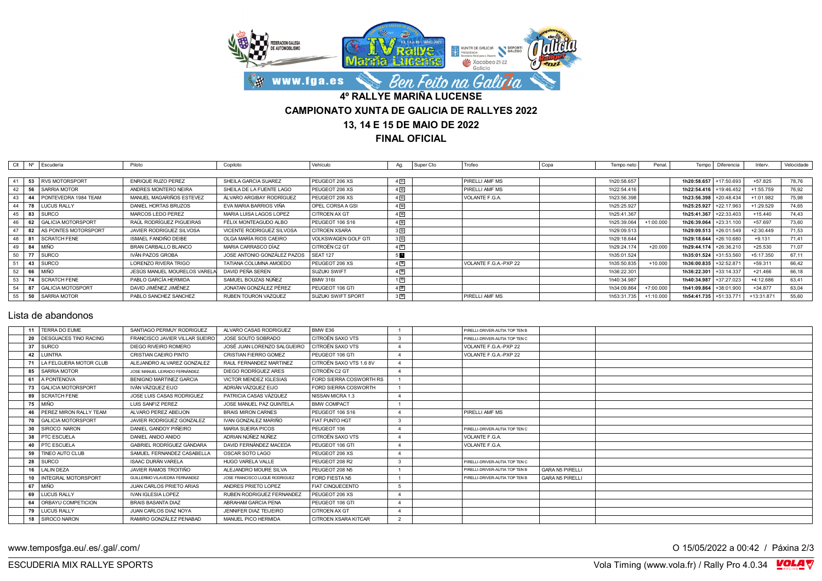

**FINAL OFICIAL**

| Clt |    | Nº Escudería             | Piloto                       | Copiloto                    | Vehículo                   | Ag.          | Super Cto | Trofeo                | Copa<br>Tempo neto | Penal       |                        | Tempo   Diferencia | Interv.     | Velocidade |
|-----|----|--------------------------|------------------------------|-----------------------------|----------------------------|--------------|-----------|-----------------------|--------------------|-------------|------------------------|--------------------|-------------|------------|
|     |    |                          |                              |                             |                            |              |           |                       |                    |             |                        |                    |             |            |
|     |    | 53 RVS MOTORSPORT        | <b>ENRIQUE RUZO PEREZ</b>    | SHEILA GARCIA SUAREZ        | PEUGEOT 206 XS             | $4\sqrt{11}$ |           | PIRELLI AMF MS        | 1h20:58.657        |             | 1h20:58.657            | $+17:50.693$       | $+57.825$   | 78,76      |
|     |    | 56 SARRIA MOTOR          | ANDRES MONTERO NEIRA         | SHEILA DE LA FUENTE LAGO    | PEUGEOT 206 XS             | 4 12         |           | PIRELLI AMF MS        | 1h22:54.416        |             | 1h22:54.416            | +19:46.452         | $+1:55.759$ | 76.92      |
| 43  |    | 44 PONTEVEDRA 1984 TEAM  | MANUEL MAGARIÑOS ESTEVEZ     | ÁLVARO ARGIBAY RODRÍGUEZ    | PEUGEOT 206 XS             | $4\sqrt{13}$ |           | VOLANTE F.G.A.        | 1h23:56.398        |             | 1h23:56.398            | $+20:48.434$       | $+1:01.982$ | 75.98      |
| 44  | 78 | <b>LUCUS RALLY</b>       | DANIEL HORTAS BRUZOS         | EVA MARIA BARRIOS VIÑA      | OPEL CORSA A GSI           | $4\sqrt{14}$ |           |                       | 1h25:25.927        |             | 1h25:25.927            | +22:17.963         | $+1:29.529$ | 74.65      |
| 45  |    | 83 SURCO                 | MARCOS LEDO PEREZ            | MARIA LUISA LAGOS LOPEZ     | CITROEN AX GT              | $4\sqrt{15}$ |           |                       | 1h25:41.367        |             | 1h25:41.367            | +22:33.403         | $+15.440$   | 74.43      |
| 46  |    | 62 GALICIA MOTORSPORT    | RAÚL RODRÍGUEZ PIGUEIRAS     | FÉLIX MONTEAGUDO ALBO       | PEUGEOT 106 S16            | $4\sqrt{16}$ |           |                       | 1h25:39.064        | $+1:00.000$ | 1h26:39.064            | +23:31.100         | $+57.697$   | 73.60      |
|     |    | 82 AS PONTES MOTORSPORT  | JAVIER RODRIGUEZ SILVOSA     | VICENTE RODRIGUEZ SILVOSA   | <b>CITROEN XSARA</b>       | $3\sqrt{12}$ |           |                       | 1h29:09.513        |             | 1h29:09.513            | +26:01.549         | $+2:30.449$ | 71.53      |
| 48  |    | 81 SCRATCH FENE          | ISMAEL FANDIÑO DEIBE         | OLGA MARÍA RIOS CAEIRO      | <b>VOLKSWAGEN GOLF GTI</b> | $3\sqrt{13}$ |           |                       | 1h29:18.644        |             | 1h29:18.644 +26:10.680 |                    | $+9.131$    | 71.41      |
| 49  |    | 84 I MIÑO                | BRAN CARBALLO BLANCO         | MARIA CARRASCO DÍAZ         | CITROËN C2 GT              | 4[17]        |           |                       | 1h29:24.174        | $+20.000$   | 1h29:44.174            | +26:36.210         | $+25.530$   | 71.07      |
| 50  | 77 | <b>SURCO</b>             | IVÁN PAZOS GROBA             | JOSE ANTONIO GONZÁLEZ PAZOS | SEAT 127                   | 5 <b>D</b>   |           |                       | 1h35:01.524        |             | 1h35:01.524 +31:53.560 |                    | $+5:17.350$ | 67.11      |
| 51  |    | 43 SURCO                 | LORENZO RIVERA TRIGO         | TATIANA COLUMNA AMOEDO      | PEUGEOT 206 XS             | $4\sqrt{18}$ |           | VOLANTE F.G.A.-PXP 22 | 1h35:50.835        | $+10.000$   | 1h36:00.835            | +32:52.871         | $+59.311$   | 66.42      |
| 52  |    | 66   MIÑO                | JESÚS MANUEL MOURELOS VAREL/ | DAVID PFÑA SEREN            | SUZUKI SWIFT               | $4\sqrt{19}$ |           |                       | 1h36:22.301        |             | 1h36:22.301            | +33:14.337         | $+21.466$   | 66,18      |
| 53  | 74 | <b>SCRATCH FENE</b>      | PABLO GARCÍA HERMIDA         | SAMUEL BOUZAS NÚÑEZ         | <b>BMW 316I</b>            | $1\sqrt{13}$ |           |                       | 1h40:34.987        |             | 1h40:34.987            | $+37:27.023$       | $+4:12.686$ | 63.41      |
| 54  | 87 | <b>GALICIA MOTOSPORT</b> | DAVID JIMÉNEZ JIMÉNEZ        | JONATAN GONZÁLEZ PÉREZ      | PEUGEOT 106 GTI            | 4[20]        |           |                       | 1h34:09.864        | $+7:00.000$ | 1h41:09.864            | +38:01.900         | $+34.877$   | 63.04      |
| 55  | 50 | <b>SARRIA MOTOR</b>      | PABLO SANCHEZ SANCHEZ        | RUBEN TOURON VAZQUEZ        | SUZUKI SWIFT SPORT         | $3\sqrt{14}$ |           | PIRELLI AMF MS        | 1h53:31.735        | $+1:10.000$ | 1h54:41.735            | +51:33.771         | +13:31.871  | 55,60      |

## Lista de abandonos

|    | 11   TERRA DO EUME          | SANTIAGO PERMUY RODRIGUEZ      | ALVARO CASAS RODRIGUEZ         | BMW F36                     |   | PIRELLI-DRIVER-AUTIA TOP TEN B |                        |  |
|----|-----------------------------|--------------------------------|--------------------------------|-----------------------------|---|--------------------------------|------------------------|--|
|    | 20 DESGUACES TINO RACING    | FRANCISCO JAVIER VILLAR SUEIRO | JOSE SOUTO SOBRADO             | CITROËN SAXO VTS            |   | PIRELLI-DRIVER-AUTIA TOP TEN C |                        |  |
|    | 37 SURCO                    | DIEGO RIVEIRO ROMERO           | JOSÉ JUAN LORENZO SALGUEIRO    | CITROËN SAXO VTS            |   | VOLANTE F.G.A.-PXP 22          |                        |  |
|    | 42 LUINTRA                  | CRISTIAN CAFIRO PINTO          | <b>CRISTIAN FIERRO GOMEZ</b>   | PEUGEOT 106 GTI             |   | VOLANTE F.G.A.-PXP 22          |                        |  |
| 71 | LA FELGUERA MOTOR CLUB      | ALEJANDRO ALVAREZ GONZALEZ     | RAUL FERNANDEZ MARTINEZ        | CITROËN SAXO VTS 1.6 8V     |   |                                |                        |  |
|    | 85 SARRIA MOTOR             | JOSE MANUEL LEIRADO FERNÁNDEZ  | DIEGO RODRÍGUEZ ARES           | CITROËN C2 GT               |   |                                |                        |  |
|    | 61 A PONTENOVA              | <b>BENIGNO MARTINEZ GARCIA</b> | VICTOR MENDEZ IGLESIAS         | FORD SIERRA COSWORTH RS     |   |                                |                        |  |
|    | 73 GALICIA MOTORSPORT       | IVÁN VÁZQUEZ EIJO              | ADRIÁN VÁZQUEZ EIJO            | FORD SIERRA COSWORTH        |   |                                |                        |  |
|    | 89 SCRATCH FENE             | JOSE LUIS CASAS RODRIGUEZ      | PATRICIA CASAS VÁZQUEZ         | NISSAN MICRA 1.3            |   |                                |                        |  |
|    | 75 MIÑO                     | LUIS SANFIZ PEREZ              | JOSE MANUEL PAZ QUINTELA       | <b>BMW COMPACT</b>          |   |                                |                        |  |
|    | 46   PEREZ MIRON RALLY TEAM | ALVARO PEREZ ABEIJON           | <b>BRAIS MIRON CARNES</b>      | PEUGEOT 106 S16             |   | PIRELLI AMF MS                 |                        |  |
|    | 70   GALICIA MOTORSPORT     | JAVIER RODRIGUEZ GONZALEZ      | IVAN GONZALEZ MARIÑO           | <b>FIAT PUNTO HGT</b>       |   |                                |                        |  |
|    | 30 SIROCO NARON             | DANIEL GANDOY PIÑEIRO          | <b>MARIA SUEIRA PICOS</b>      | PEUGEOT 106                 |   | PIRELLI-DRIVER-AUTIA TOP TEN C |                        |  |
|    | 38   PTC ESCUELA            | DANIEL ANIDO ANIDO             | ADRIAN NÚÑEZ NÚÑEZ             | CITROËN SAXO VTS            |   | VOLANTE F.G.A.                 |                        |  |
|    | 40   PTC ESCUELA            | GABRIEL RODRÍGUEZ GÀNDARA      | DAVID FERNÁNDEZ MACEDA         | PEUGEOT 106 GTI             |   | VOLANTE F.G.A.                 |                        |  |
|    | 59   TINEO AUTO CLUB        | SAMUEL FERNANDEZ CASABELLA     | OSCAR SOTO LAGO                | PEUGEOT 206 XS              |   |                                |                        |  |
|    | 28 SURCO                    | <b>ISAAC DURÁN VARELA</b>      | HUGO VARELA VALLE              | PEUGEOT 208 R2              |   | PIRELLI-DRIVER-AUTIA TOP TEN C |                        |  |
|    | 16   LALIN DEZA             | JAVIER RAMOS TROITIÑO          | ALEJANDRO MOURE SILVA          | PEUGEOT 208 N5              |   | PIRELLI-DRIVER-AUTIA TOP TEN B | <b>GARA N5 PIRELLI</b> |  |
| 10 | INTEGRAL MOTORSPORT         | GUILLERMO VILAVEDRA FERNANDEZ  | JOSE FRANCISCO LUQUE RODRIGUEZ | FORD FIESTA N5              |   | PIRELLI-DRIVER-AUTIA TOP TEN B | <b>GARA N5 PIRELLI</b> |  |
|    | 67 MIÑO                     | JUAN CARLOS PRIETO ARIAS       | ANDRES PRIETO LOPEZ            | FIAT CINQUECENTO            | 5 |                                |                        |  |
|    | 69   LUCUS RALLY            | <b>IVAN IGLESIA LOPEZ</b>      | RUBEN RODRIGUEZ FERNANDEZ      | PEUGEOT 206 XS              |   |                                |                        |  |
|    | 64   ORBAYU COMPETICION     | <b>BRAIS BASANTA DIAZ</b>      | ABRAHAM GARCIA PENA            | PEUGEOT 106 GTI             |   |                                |                        |  |
|    | 79   LUCUS RALLY            | JUAN CARLOS DIAZ NOYA          | JENNIFER DIAZ TEIJEIRO         | CITROEN AX GT               |   |                                |                        |  |
|    | 18   SIROCO NARON           | RAMIRO GONZÁLEZ PENABAD        | MANUEL PICO HERMIDA            | <b>CITROEN XSARA KITCAR</b> | 2 |                                |                        |  |
|    |                             |                                |                                |                             |   |                                |                        |  |

www.temposfga.eu/.es/.gal/.com/ **O 15/05/2022** a 00:42 / Páxina 2/3